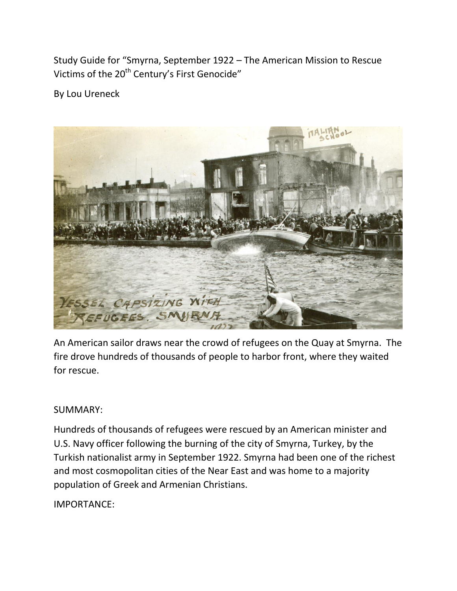Study Guide for "Smyrna, September 1922 - The American Mission to Rescue Victims of the 20<sup>th</sup> Century's First Genocide"

By Lou Ureneck



An American sailor draws near the crowd of refugees on the Quay at Smyrna. The fire drove hundreds of thousands of people to harbor front, where they waited for rescue.

# SUMMARY:

Hundreds of thousands of refugees were rescued by an American minister and U.S. Navy officer following the burning of the city of Smyrna, Turkey, by the Turkish nationalist army in September 1922. Smyrna had been one of the richest and most cosmopolitan cities of the Near East and was home to a majority population of Greek and Armenian Christians.

IMPORTANCE: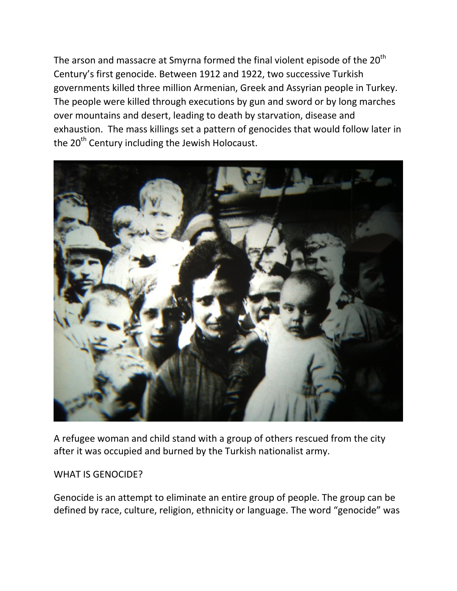The arson and massacre at Smyrna formed the final violent episode of the  $20<sup>th</sup>$ Century's first genocide. Between 1912 and 1922, two successive Turkish governments killed three million Armenian, Greek and Assyrian people in Turkey. The people were killed through executions by gun and sword or by long marches over mountains and desert, leading to death by starvation, disease and exhaustion. The mass killings set a pattern of genocides that would follow later in the  $20<sup>th</sup>$  Century including the Jewish Holocaust.



A refugee woman and child stand with a group of others rescued from the city after it was occupied and burned by the Turkish nationalist army.

#### WHAT IS GENOCIDE?

Genocide is an attempt to eliminate an entire group of people. The group can be defined by race, culture, religion, ethnicity or language. The word "genocide" was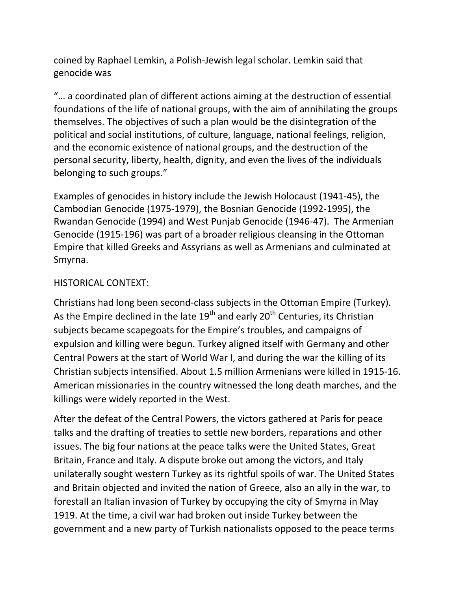coined by Raphael Lemkin, a Polish-Jewish legal scholar. Lemkin said that genocide was

͞… a coordinated plan of different actions aiming at the destruction of essential foundations of the life of national groups, with the aim of annihilating the groups themselves. The objectives of such a plan would be the disintegration of the political and social institutions, of culture, language, national feelings, religion, and the economic existence of national groups, and the destruction of the personal security, liberty, health, dignity, and even the lives of the individuals belonging to such groups."

Examples of genocides in history include the Jewish Holocaust (1941-45), the Cambodian Genocide (1975-1979), the Bosnian Genocide (1992-1995), the Rwandan Genocide (1994) and West Punjab Genocide (1946-47). The Armenian Genocide (1915-196) was part of a broader religious cleansing in the Ottoman Empire that killed Greeks and Assyrians as well as Armenians and culminated at Smyrna.

## HISTORICAL CONTEXT:

Christians had long been second-class subjects in the Ottoman Empire (Turkey). As the Empire declined in the late  $19<sup>th</sup>$  and early  $20<sup>th</sup>$  Centuries, its Christian subjects became scapegoats for the Empire's troubles, and campaigns of expulsion and killing were begun. Turkey aligned itself with Germany and other Central Powers at the start of World War I, and during the war the killing of its Christian subjects intensified. About 1.5 million Armenians were killed in 1915-16. American missionaries in the country witnessed the long death marches, and the killings were widely reported in the West.

After the defeat of the Central Powers, the victors gathered at Paris for peace talks and the drafting of treaties to settle new borders, reparations and other issues. The big four nations at the peace talks were the United States, Great Britain, France and Italy. A dispute broke out among the victors, and Italy unilaterally sought western Turkey as its rightful spoils of war. The United States and Britain objected and invited the nation of Greece, also an ally in the war, to forestall an Italian invasion of Turkey by occupying the city of Smyrna in May 1919. At the time, a civil war had broken out inside Turkey between the government and a new party of Turkish nationalists opposed to the peace terms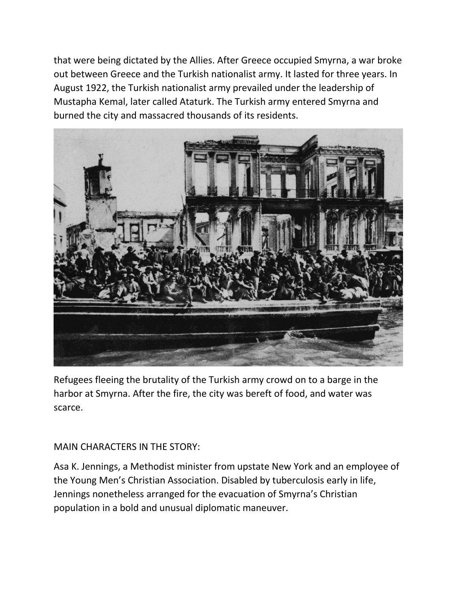that were being dictated by the Allies. After Greece occupied Smyrna, a war broke out between Greece and the Turkish nationalist army. It lasted for three years. In August 1922, the Turkish nationalist army prevailed under the leadership of Mustapha Kemal, later called Ataturk. The Turkish army entered Smyrna and burned the city and massacred thousands of its residents.



Refugees fleeing the brutality of the Turkish army crowd on to a barge in the harbor at Smyrna. After the fire, the city was bereft of food, and water was scarce.

## MAIN CHARACTERS IN THE STORY:

Asa K. Jennings, a Methodist minister from upstate New York and an employee of the Young Men's Christian Association. Disabled by tuberculosis early in life, Jennings nonetheless arranged for the evacuation of Smyrna's Christian population in a bold and unusual diplomatic maneuver.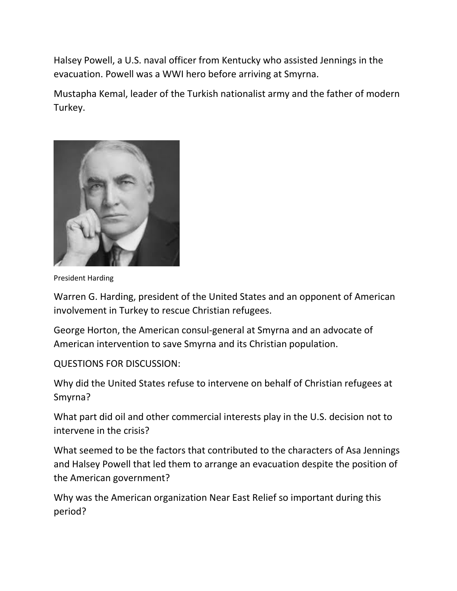Halsey Powell, a U.S. naval officer from Kentucky who assisted Jennings in the evacuation. Powell was a WWI hero before arriving at Smyrna.

Mustapha Kemal, leader of the Turkish nationalist army and the father of modern Turkey.



President Harding

Warren G. Harding, president of the United States and an opponent of American involvement in Turkey to rescue Christian refugees.

George Horton, the American consul-general at Smyrna and an advocate of American intervention to save Smyrna and its Christian population.

## QUESTIONS FOR DISCUSSION:

Why did the United States refuse to intervene on behalf of Christian refugees at Smyrna?

What part did oil and other commercial interests play in the U.S. decision not to intervene in the crisis?

What seemed to be the factors that contributed to the characters of Asa Jennings and Halsey Powell that led them to arrange an evacuation despite the position of the American government?

Why was the American organization Near East Relief so important during this period?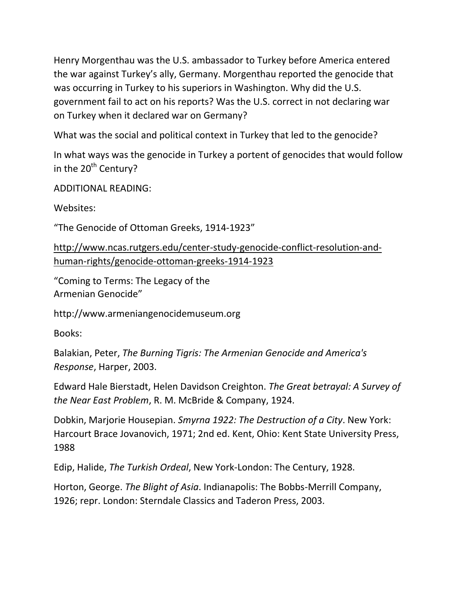Henry Morgenthau was the U.S. ambassador to Turkey before America entered the war against Turkey's ally, Germany. Morgenthau reported the genocide that was occurring in Turkey to his superiors in Washington. Why did the U.S. government fail to act on his reports? Was the U.S. correct in not declaring war on Turkey when it declared war on Germany?

What was the social and political context in Turkey that led to the genocide?

In what ways was the genocide in Turkey a portent of genocides that would follow in the  $20<sup>th</sup>$  Century?

ADDITIONAL READING:

Websites:

"The Genocide of Ottoman Greeks, 1914-1923"

[http://www.ncas.rutgers.edu/center-study-genocide-conflict-resolution-and](http://www.ncas.rutgers.edu/center-study-genocide-conflict-resolution-and-human-rights/genocide-ottoman-greeks-1914-1923)[human-rights/genocide-ottoman-greeks-1914-1923](http://www.ncas.rutgers.edu/center-study-genocide-conflict-resolution-and-human-rights/genocide-ottoman-greeks-1914-1923)

͞Coming to Terms: The Legacy of the Armenian Genocide͟

http://www.armeniangenocidemuseum.org

Books:

Balakian, Peter, *[The Burning Tigris:](https://en.wikipedia.org/wiki/The_Burning_Tigris) The Armenian Genocide and America's Response*, Harper, 2003.

Edward Hale Bierstadt, Helen Davidson Creighton. *The Great betrayal: A Survey of the Near East Problem*, R. M. McBride & Company, 1924.

Dobkin, Marjorie Housepian. *Smyrna 1922: The Destruction of a City*. New York: Harcourt Brace Jovanovich, 1971; 2nd ed. Kent, Ohio: Kent State University Press, 1988

Edip, Halide, *[The Turkish Ordeal](http://louisville.edu/a-s/history/turks/Turkish%20Ordeal.pdf)*, New York-London: The Century, 1928.

Horton, George. *[The Blight of Asia](https://en.wikipedia.org/wiki/The_Blight_of_Asia)*. Indianapolis: The Bobbs-Merrill Company, 1926; repr. London: Sterndale Classics and Taderon Press, 2003.